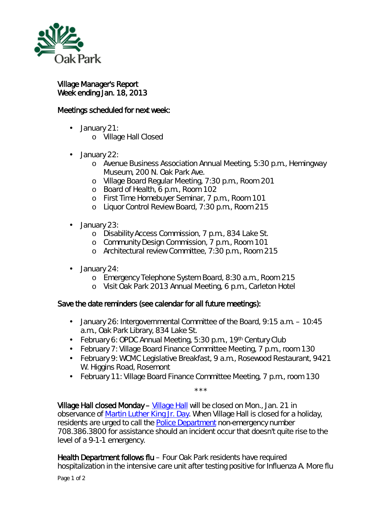

Village Manager's Report Week ending Jan. 18, 2013

## Meetings scheduled for next week:

- January 21:  $\mathbf{r}$  .
	- o Village Hall Closed
- January 22: ä,
	- o Avenue Business Association Annual Meeting, 5:30 p.m., Hemingway Museum, 200 N. Oak Park Ave.
	- o Village Board Regular Meeting, 7:30 p.m., Room 201
	- o Board of Health, 6 p.m., Room 102
	- o First Time Homebuyer Seminar, 7 p.m., Room 101
	- o Liquor Control Review Board, 7:30 p.m., Room 215
- January 23: ¥,
	- o Disability Access Commission, 7 p.m., 834 Lake St.
	- o Community Design Commission, 7 p.m., Room 101
	- o Architectural review Committee, 7:30 p.m., Room 215
- January 24:
	- o Emergency Telephone System Board, 8:30 a.m., Room 215
	- o Visit Oak Park 2013 Annual Meeting, 6 p.m., Carleton Hotel

## Save the date reminders (see calendar for all future meetings):

- January 26: Intergovernmental Committee of the Board, 9:15 a.m. 10:45 a.m., Oak Park Library, 834 Lake St.
- February 6: OPDC Annual Meeting, 5:30 p.m., 19<sup>th</sup> Century Club
- February 7: Village Board Finance Committee Meeting, 7 p.m., room 130
- February 9: WCMC Legislative Breakfast, 9 a.m., Rosewood Restaurant, 9421 W. Higgins Road, Rosemont
- February 11: Village Board Finance Committee Meeting, 7 p.m., room 130

\*\*\*\* [Village Hall](http://www.oak-park.us/About_Our_Village/about_our_village.html) closed Monday – Village Hall will be closed on Mon., Jan. 21 in observance of [Martin Luther King Jr. Day.](http://www.mlkday.gov/) When Village Hall is closed for a holiday, residents are urged to call the [Police Department](http://www.oak-park.us/Police/index.html) non-emergency number 708.386.3800 for assistance should an incident occur that doesn't quite rise to the level of a 9-1-1 emergency.

Health Department follows flu – Four Oak Park residents have required hospitalization in the intensive care unit after testing positive for Influenza A. More flu